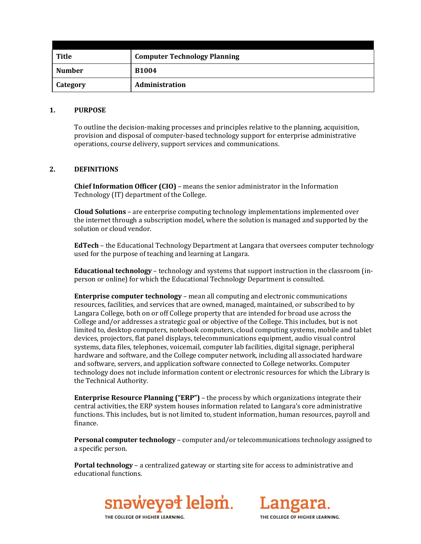| <b>Title</b>  | <b>Computer Technology Planning</b> |
|---------------|-------------------------------------|
| <b>Number</b> | <b>B1004</b>                        |
| Category      | <b>Administration</b>               |

#### **1. PURPOSE**

To outline the decision-making processes and principles relative to the planning, acquisition, provision and disposal of computer-based technology support for enterprise administrative operations, course delivery, support services and communications.

## **2. DEFINITIONS**

**Chief Information Officer (CIO)** – means the senior administrator in the Information Technology (IT) department of the College.

**Cloud Solutions** – are enterprise computing technology implementations implemented over the internet through a subscription model, where the solution is managed and supported by the solution or cloud vendor.

**EdTech** – the Educational Technology Department at Langara that oversees computer technology used for the purpose of teaching and learning at Langara.

**Educational technology** – technology and systems that support instruction in the classroom (inperson or online) for which the Educational Technology Department is consulted.

**Enterprise computer technology** – mean all computing and electronic communications resources, facilities, and services that are owned, managed, maintained, or subscribed to by Langara College, both on or off College property that are intended for broad use across the College and/or addresses a strategic goal or objective of the College. This includes, but is not limited to, desktop computers, notebook computers, cloud computing systems, mobile and tablet devices, projectors, flat panel displays, telecommunications equipment, audio visual control systems, data files, telephones, voicemail, computer lab facilities, digital signage, peripheral hardware and software, and the College computer network, including all associated hardware and software, servers, and application software connected to College networks. Computer technology does not include information content or electronic resources for which the Library is the Technical Authority.

**Enterprise Resource Planning ("ERP")** – the process by which organizations integrate their central activities, the ERP system houses information related to Langara's core administrative functions. This includes, but is not limited to, student information, human resources, payroll and finance.

**Personal computer technology** – computer and/or telecommunications technology assigned to a specific person.

**Portal technology** – a centralized gateway or starting site for access to administrative and educational functions.





THE COLLEGE OF HIGHER LEARNING.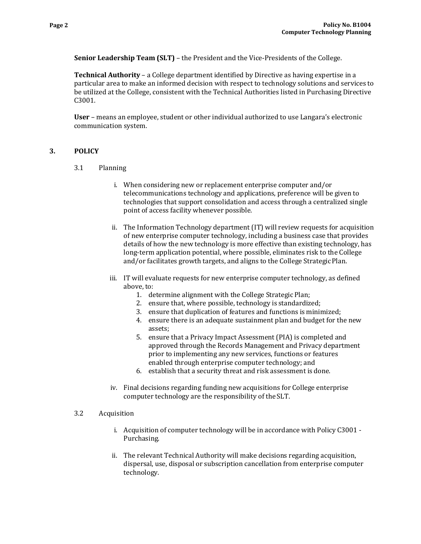**Senior Leadership Team (SLT)** – the President and the Vice-Presidents of the College.

**Technical Authority** – a College department identified by Directive as having expertise in a particular area to make an informed decision with respect to technology solutions and services to be utilized at the College, consistent with the Technical Authorities listed in Purchasing Directive C3001.

**User** – means an employee, student or other individual authorized to use Langara's electronic communication system.

## **3. POLICY**

- 3.1 Planning
	- i. When considering new or replacement enterprise computer and/or telecommunications technology and applications, preference will be given to technologies that support consolidation and access through a centralized single point of access facility whenever possible.
	- ii. The Information Technology department (IT) will review requests for acquisition of new enterprise computer technology, including a business case that provides details of how the new technology is more effective than existing technology, has long-term application potential, where possible, eliminates risk to the College and/or facilitates growth targets, and aligns to the College Strategic Plan.
	- iii. IT will evaluate requests for new enterprise computer technology, as defined above, to:
		- 1. determine alignment with the College Strategic Plan;
		- 2. ensure that, where possible, technology is standardized;
		- 3. ensure that duplication of features and functions is minimized;
		- 4. ensure there is an adequate sustainment plan and budget for the new assets;
		- 5. ensure that a Privacy Impact Assessment (PIA) is completed and approved through the Records Management and Privacy department prior to implementing any new services, functions or features enabled through enterprise computer technology; and
		- 6. establish that a security threat and risk assessment is done.
	- iv. Final decisions regarding funding new acquisitions for College enterprise computer technology are the responsibility of the SLT.

#### 3.2 Acquisition

- i. Acquisition of computer technology will be in accordance with Policy C3001 Purchasing.
- ii. The relevant Technical Authority will make decisions regarding acquisition, dispersal, use, disposal or subscription cancellation from enterprise computer technology.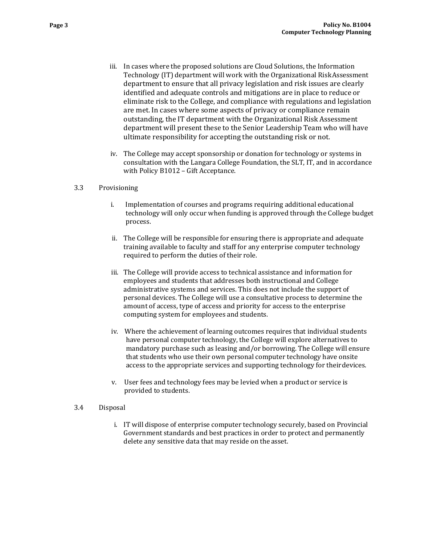- iii. In cases where the proposed solutions are Cloud Solutions, the Information Technology (IT) department will work with the Organizational RiskAssessment department to ensure that all privacy legislation and risk issues are clearly identified and adequate controls and mitigations are in place to reduce or eliminate risk to the College, and compliance with regulations and legislation are met. In cases where some aspects of privacy or compliance remain outstanding, the IT department with the Organizational Risk Assessment department will present these to the Senior Leadership Team who will have ultimate responsibility for accepting the outstanding risk or not.
- iv. The College may accept sponsorship or donation for technology or systems in consultation with the Langara College Foundation, the SLT, IT, and in accordance with Policy B1012 – Gift Acceptance.

### 3.3 Provisioning

- i. Implementation of courses and programs requiring additional educational technology will only occur when funding is approved through the College budget process.
- ii. The College will be responsible for ensuring there is appropriate and adequate training available to faculty and staff for any enterprise computer technology required to perform the duties of their role.
- iii. The College will provide access to technical assistance and information for employees and students that addresses both instructional and College administrative systems and services. This does not include the support of personal devices. The College will use a consultative process to determine the amount of access, type of access and priority for access to the enterprise computing system for employees and students.
- iv. Where the achievement of learning outcomes requires that individual students have personal computer technology, the College will explore alternatives to mandatory purchase such as leasing and/or borrowing. The College will ensure that students who use their own personal computer technology have onsite access to the appropriate services and supporting technology for theirdevices.
- v. User fees and technology fees may be levied when a product or service is provided to students.

### 3.4 Disposal

i. IT will dispose of enterprise computer technology securely, based on Provincial Government standards and best practices in order to protect and permanently delete any sensitive data that may reside on the asset.